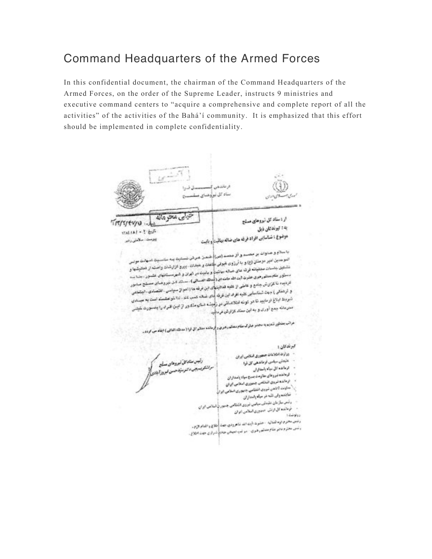## Command Headquarters of the Armed Forces

In this confidential document, the chairman of the Command Headquarters of the Armed Forces, on the order of the Supreme Leader, instructs 9 ministries and executive command centers to "acquire a comprehensive and complete report of all the activities" of the activities of the Bahá'í community. It is emphasized that this effort should be implemented in complete confidentiality.

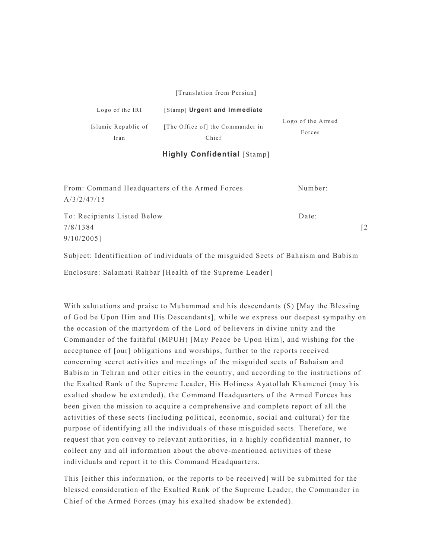[Translation from Persian]

| Logo of the IRI     | [Stamp] Urgent and Immediate     |                   |
|---------------------|----------------------------------|-------------------|
| Islamic Republic of | [The Office of] the Commander in | Logo of the Armed |
| Iran                | Chief                            | Forces            |

## **Highly Confidential** [Stamp]

| From: Command Headquarters of the Armed Forces | Number: |    |
|------------------------------------------------|---------|----|
| A/3/2/47/15                                    |         |    |
| To: Recipients Listed Below                    | Date:   |    |
| 7/8/1384                                       |         | [2 |
| $9/10/2005$ ]                                  |         |    |

Subject: Identification of individuals of the misguided Sects of Bahaism and Babism

Enclosure: Salamati Rahbar [Health of the Supreme Leader]

With salutations and praise to Muhammad and his descendants (S) [May the Blessing of God be Upon Him and His Descendants], while we express our deepest sympathy on the occasion of the martyrdom of the Lord of believers in divine unity and the Commander of the faithful (MPUH) [May Peace be Upon Him], and wishing for the acceptance of [our] obligations and worships, further to the reports received concerning secret activities and meetings of the misguided sects of Bahaism and Babism in Tehran and other cities in the country, and according to the instructions of the Exalted Rank of the Supreme Leader, His Holiness Ayatollah Khamenei (may his exalted shadow be extended), the Command Headquarters of the Armed Forces has been given the mission to acquire a comprehensive and complete report of all the activities of these sects (including political, economic, social and cultural) for the purpose of identifying all the individuals of these misguided sects. Therefore, we request that you convey to relevant authorities, in a highly confidential manner, to collect any and all information about the above-mentioned activities of these individuals and report it to this Command Headquarters.

This [either this information, or the reports to be received] will be submitted for the blessed consideration of the Exalted Rank of the Supreme Leader, the Commander in Chief of the Armed Forces (may his exalted shadow be extended).